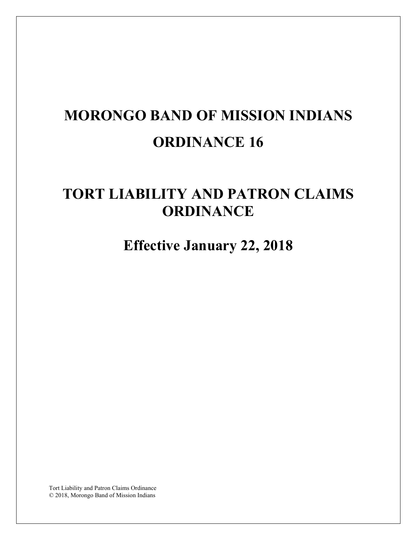# **MORONGO BAND OF MISSION INDIANS ORDINANCE 16**

# **TORT LIABILITY AND PATRON CLAIMS ORDINANCE**

**Effective January 22, 2018** 

Tort Liability and Patron Claims Ordinance © 2018, Morongo Band of Mission Indians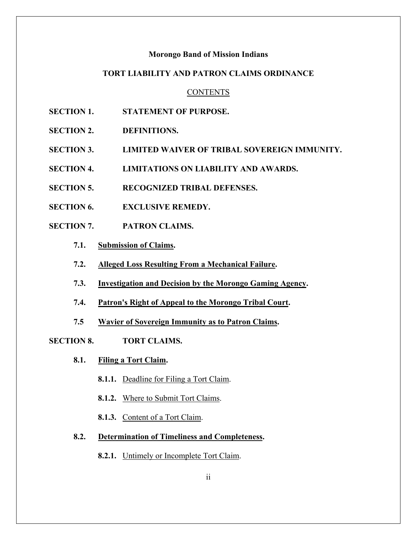#### **Morongo Band of Mission Indians**

# **TORT LIABILITY AND PATRON CLAIMS ORDINANCE**

#### **CONTENTS**

- **SECTION 1. STATEMENT OF PURPOSE.**
- **SECTION 2. DEFINITIONS.**
- **SECTION 3. LIMITED WAIVER OF TRIBAL SOVEREIGN IMMUNITY.**
- **SECTION 4. LIMITATIONS ON LIABILITY AND AWARDS.**
- **SECTION 5. RECOGNIZED TRIBAL DEFENSES.**
- **SECTION 6. EXCLUSIVE REMEDY.**
- **SECTION 7. PATRON CLAIMS.**
	- **7.1. Submission of Claims.**
	- **7.2. Alleged Loss Resulting From a Mechanical Failure.**
	- **7.3. Investigation and Decision by the Morongo Gaming Agency.**
	- **7.4. Patron's Right of Appeal to the Morongo Tribal Court.**
	- **7.5 Wavier of Sovereign Immunity as to Patron Claims.**
- **SECTION 8. TORT CLAIMS.**
	- **8.1. Filing a Tort Claim.**
		- **8.1.1.** Deadline for Filing a Tort Claim.
		- **8.1.2.** Where to Submit Tort Claims.
		- **8.1.3.** Content of a Tort Claim.
	- **8.2. Determination of Timeliness and Completeness.**
		- **8.2.1.** Untimely or Incomplete Tort Claim.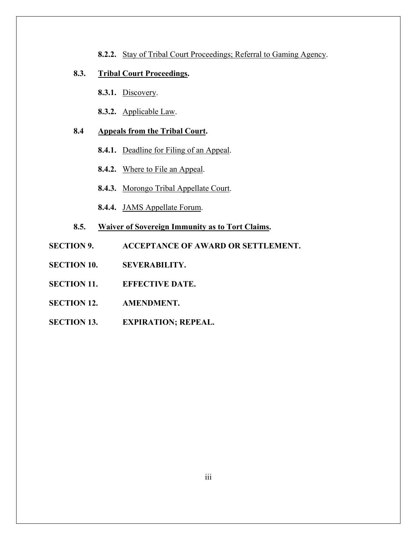**8.2.2.** Stay of Tribal Court Proceedings; Referral to Gaming Agency.

# **8.3. Tribal Court Proceedings.**

**8.3.1.** Discovery.

**8.3.2.** Applicable Law.

# **8.4 Appeals from the Tribal Court.**

- **8.4.1.** Deadline for Filing of an Appeal.
- **8.4.2.** Where to File an Appeal.
- **8.4.3.** Morongo Tribal Appellate Court.
- **8.4.4.** JAMS Appellate Forum.
- **8.5. Waiver of Sovereign Immunity as to Tort Claims.**
- **SECTION 9. ACCEPTANCE OF AWARD OR SETTLEMENT.**
- **SECTION 10. SEVERABILITY.**
- **SECTION 11. EFFECTIVE DATE.**
- **SECTION 12. AMENDMENT.**
- **SECTION 13. EXPIRATION; REPEAL.**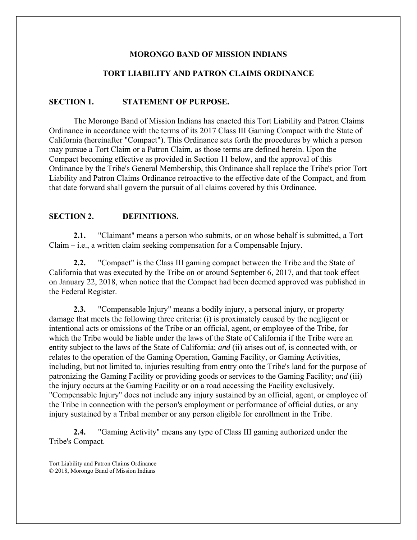# **MORONGO BAND OF MISSION INDIANS**

# **TORT LIABILITY AND PATRON CLAIMS ORDINANCE**

# **SECTION 1. STATEMENT OF PURPOSE.**

The Morongo Band of Mission Indians has enacted this Tort Liability and Patron Claims Ordinance in accordance with the terms of its 2017 Class III Gaming Compact with the State of California (hereinafter "Compact"). This Ordinance sets forth the procedures by which a person may pursue a Tort Claim or a Patron Claim, as those terms are defined herein. Upon the Compact becoming effective as provided in Section 11 below, and the approval of this Ordinance by the Tribe's General Membership, this Ordinance shall replace the Tribe's prior Tort Liability and Patron Claims Ordinance retroactive to the effective date of the Compact, and from that date forward shall govern the pursuit of all claims covered by this Ordinance.

#### **SECTION 2. DEFINITIONS.**

**2.1.** "Claimant" means a person who submits, or on whose behalf is submitted, a Tort Claim – i.e., a written claim seeking compensation for a Compensable Injury.

**2.2.** "Compact" is the Class III gaming compact between the Tribe and the State of California that was executed by the Tribe on or around September 6, 2017, and that took effect on January 22, 2018, when notice that the Compact had been deemed approved was published in the Federal Register.

**2.3.** "Compensable Injury" means a bodily injury, a personal injury, or property damage that meets the following three criteria: (i) is proximately caused by the negligent or intentional acts or omissions of the Tribe or an official, agent, or employee of the Tribe, for which the Tribe would be liable under the laws of the State of California if the Tribe were an entity subject to the laws of the State of California; *and* (ii) arises out of, is connected with, or relates to the operation of the Gaming Operation, Gaming Facility, or Gaming Activities, including, but not limited to, injuries resulting from entry onto the Tribe's land for the purpose of patronizing the Gaming Facility or providing goods or services to the Gaming Facility; *and* (iii) the injury occurs at the Gaming Facility or on a road accessing the Facility exclusively. "Compensable Injury" does not include any injury sustained by an official, agent, or employee of the Tribe in connection with the person's employment or performance of official duties, or any injury sustained by a Tribal member or any person eligible for enrollment in the Tribe.

**2.4.** "Gaming Activity" means any type of Class III gaming authorized under the Tribe's Compact.

Tort Liability and Patron Claims Ordinance © 2018, Morongo Band of Mission Indians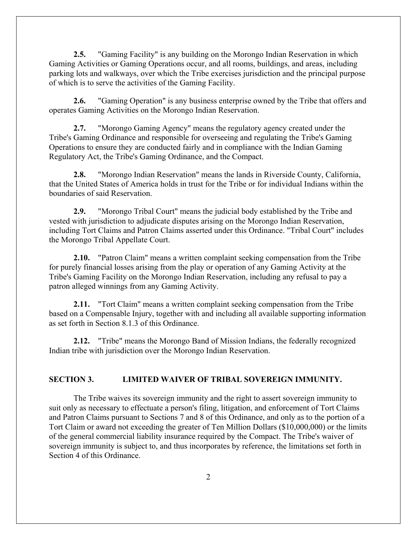**2.5.** "Gaming Facility" is any building on the Morongo Indian Reservation in which Gaming Activities or Gaming Operations occur, and all rooms, buildings, and areas, including parking lots and walkways, over which the Tribe exercises jurisdiction and the principal purpose of which is to serve the activities of the Gaming Facility.

**2.6.** "Gaming Operation" is any business enterprise owned by the Tribe that offers and operates Gaming Activities on the Morongo Indian Reservation.

**2.7.** "Morongo Gaming Agency" means the regulatory agency created under the Tribe's Gaming Ordinance and responsible for overseeing and regulating the Tribe's Gaming Operations to ensure they are conducted fairly and in compliance with the Indian Gaming Regulatory Act, the Tribe's Gaming Ordinance, and the Compact.

**2.8.** "Morongo Indian Reservation" means the lands in Riverside County, California, that the United States of America holds in trust for the Tribe or for individual Indians within the boundaries of said Reservation.

**2.9.** "Morongo Tribal Court" means the judicial body established by the Tribe and vested with jurisdiction to adjudicate disputes arising on the Morongo Indian Reservation, including Tort Claims and Patron Claims asserted under this Ordinance. "Tribal Court" includes the Morongo Tribal Appellate Court.

**2.10.** "Patron Claim" means a written complaint seeking compensation from the Tribe for purely financial losses arising from the play or operation of any Gaming Activity at the Tribe's Gaming Facility on the Morongo Indian Reservation, including any refusal to pay a patron alleged winnings from any Gaming Activity.

**2.11.** "Tort Claim" means a written complaint seeking compensation from the Tribe based on a Compensable Injury, together with and including all available supporting information as set forth in Section 8.1.3 of this Ordinance.

**2.12.** "Tribe" means the Morongo Band of Mission Indians, the federally recognized Indian tribe with jurisdiction over the Morongo Indian Reservation.

# **SECTION 3. LIMITED WAIVER OF TRIBAL SOVEREIGN IMMUNITY.**

The Tribe waives its sovereign immunity and the right to assert sovereign immunity to suit only as necessary to effectuate a person's filing, litigation, and enforcement of Tort Claims and Patron Claims pursuant to Sections 7 and 8 of this Ordinance, and only as to the portion of a Tort Claim or award not exceeding the greater of Ten Million Dollars (\$10,000,000) or the limits of the general commercial liability insurance required by the Compact. The Tribe's waiver of sovereign immunity is subject to, and thus incorporates by reference, the limitations set forth in Section 4 of this Ordinance.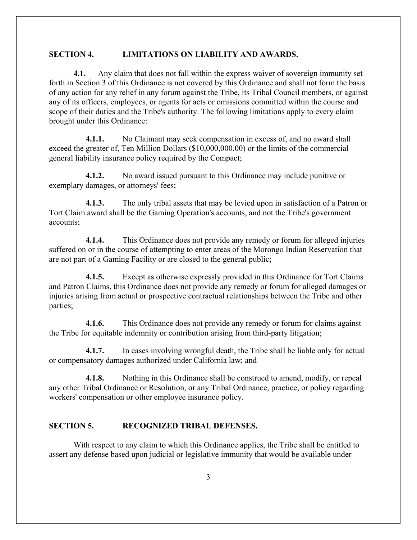#### **SECTION 4. LIMITATIONS ON LIABILITY AND AWARDS.**

**4.1.** Any claim that does not fall within the express waiver of sovereign immunity set forth in Section 3 of this Ordinance is not covered by this Ordinance and shall not form the basis of any action for any relief in any forum against the Tribe, its Tribal Council members, or against any of its officers, employees, or agents for acts or omissions committed within the course and scope of their duties and the Tribe's authority. The following limitations apply to every claim brought under this Ordinance:

**4.1.1.** No Claimant may seek compensation in excess of, and no award shall exceed the greater of, Ten Million Dollars (\$10,000,000.00) or the limits of the commercial general liability insurance policy required by the Compact;

**4.1.2.** No award issued pursuant to this Ordinance may include punitive or exemplary damages, or attorneys' fees;

**4.1.3.** The only tribal assets that may be levied upon in satisfaction of a Patron or Tort Claim award shall be the Gaming Operation's accounts, and not the Tribe's government accounts;

**4.1.4.** This Ordinance does not provide any remedy or forum for alleged injuries suffered on or in the course of attempting to enter areas of the Morongo Indian Reservation that are not part of a Gaming Facility or are closed to the general public;

**4.1.5.** Except as otherwise expressly provided in this Ordinance for Tort Claims and Patron Claims, this Ordinance does not provide any remedy or forum for alleged damages or injuries arising from actual or prospective contractual relationships between the Tribe and other parties;

**4.1.6.** This Ordinance does not provide any remedy or forum for claims against the Tribe for equitable indemnity or contribution arising from third-party litigation;

**4.1.7.** In cases involving wrongful death, the Tribe shall be liable only for actual or compensatory damages authorized under California law; and

**4.1.8.** Nothing in this Ordinance shall be construed to amend, modify, or repeal any other Tribal Ordinance or Resolution, or any Tribal Ordinance, practice, or policy regarding workers' compensation or other employee insurance policy.

### **SECTION 5. RECOGNIZED TRIBAL DEFENSES.**

With respect to any claim to which this Ordinance applies, the Tribe shall be entitled to assert any defense based upon judicial or legislative immunity that would be available under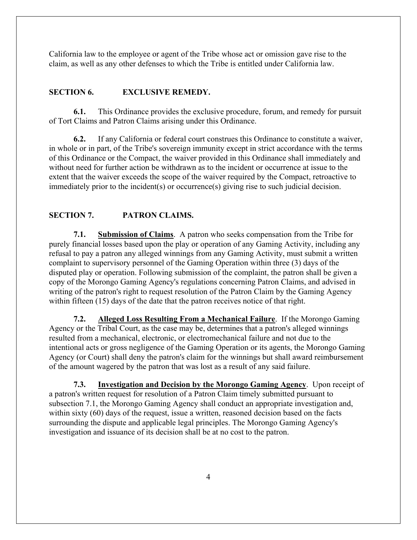California law to the employee or agent of the Tribe whose act or omission gave rise to the claim, as well as any other defenses to which the Tribe is entitled under California law.

#### **SECTION 6. EXCLUSIVE REMEDY.**

**6.1.** This Ordinance provides the exclusive procedure, forum, and remedy for pursuit of Tort Claims and Patron Claims arising under this Ordinance.

**6.2.** If any California or federal court construes this Ordinance to constitute a waiver, in whole or in part, of the Tribe's sovereign immunity except in strict accordance with the terms of this Ordinance or the Compact, the waiver provided in this Ordinance shall immediately and without need for further action be withdrawn as to the incident or occurrence at issue to the extent that the waiver exceeds the scope of the waiver required by the Compact, retroactive to immediately prior to the incident(s) or occurrence(s) giving rise to such judicial decision.

# **SECTION 7. PATRON CLAIMS.**

**7.1. Submission of Claims**. A patron who seeks compensation from the Tribe for purely financial losses based upon the play or operation of any Gaming Activity, including any refusal to pay a patron any alleged winnings from any Gaming Activity, must submit a written complaint to supervisory personnel of the Gaming Operation within three (3) days of the disputed play or operation. Following submission of the complaint, the patron shall be given a copy of the Morongo Gaming Agency's regulations concerning Patron Claims, and advised in writing of the patron's right to request resolution of the Patron Claim by the Gaming Agency within fifteen (15) days of the date that the patron receives notice of that right.

**7.2. Alleged Loss Resulting From a Mechanical Failure**. If the Morongo Gaming Agency or the Tribal Court, as the case may be, determines that a patron's alleged winnings resulted from a mechanical, electronic, or electromechanical failure and not due to the intentional acts or gross negligence of the Gaming Operation or its agents, the Morongo Gaming Agency (or Court) shall deny the patron's claim for the winnings but shall award reimbursement of the amount wagered by the patron that was lost as a result of any said failure.

**7.3. Investigation and Decision by the Morongo Gaming Agency**. Upon receipt of a patron's written request for resolution of a Patron Claim timely submitted pursuant to subsection 7.1, the Morongo Gaming Agency shall conduct an appropriate investigation and, within sixty (60) days of the request, issue a written, reasoned decision based on the facts surrounding the dispute and applicable legal principles. The Morongo Gaming Agency's investigation and issuance of its decision shall be at no cost to the patron.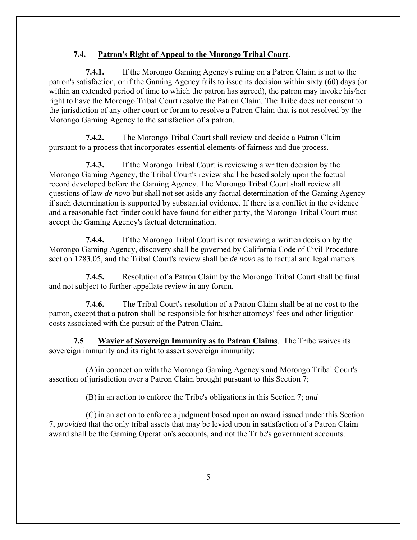# **7.4. Patron's Right of Appeal to the Morongo Tribal Court**.

**7.4.1.** If the Morongo Gaming Agency's ruling on a Patron Claim is not to the patron's satisfaction, or if the Gaming Agency fails to issue its decision within sixty (60) days (or within an extended period of time to which the patron has agreed), the patron may invoke his/her right to have the Morongo Tribal Court resolve the Patron Claim. The Tribe does not consent to the jurisdiction of any other court or forum to resolve a Patron Claim that is not resolved by the Morongo Gaming Agency to the satisfaction of a patron.

**7.4.2.** The Morongo Tribal Court shall review and decide a Patron Claim pursuant to a process that incorporates essential elements of fairness and due process.

**7.4.3.** If the Morongo Tribal Court is reviewing a written decision by the Morongo Gaming Agency, the Tribal Court's review shall be based solely upon the factual record developed before the Gaming Agency. The Morongo Tribal Court shall review all questions of law *de novo* but shall not set aside any factual determination of the Gaming Agency if such determination is supported by substantial evidence. If there is a conflict in the evidence and a reasonable fact-finder could have found for either party, the Morongo Tribal Court must accept the Gaming Agency's factual determination.

**7.4.4.** If the Morongo Tribal Court is not reviewing a written decision by the Morongo Gaming Agency, discovery shall be governed by California Code of Civil Procedure section 1283.05, and the Tribal Court's review shall be *de novo* as to factual and legal matters.

**7.4.5.** Resolution of a Patron Claim by the Morongo Tribal Court shall be final and not subject to further appellate review in any forum.

**7.4.6.** The Tribal Court's resolution of a Patron Claim shall be at no cost to the patron, except that a patron shall be responsible for his/her attorneys' fees and other litigation costs associated with the pursuit of the Patron Claim.

**7.5 Wavier of Sovereign Immunity as to Patron Claims**. The Tribe waives its sovereign immunity and its right to assert sovereign immunity:

(A)in connection with the Morongo Gaming Agency's and Morongo Tribal Court's assertion of jurisdiction over a Patron Claim brought pursuant to this Section 7;

(B) in an action to enforce the Tribe's obligations in this Section 7; *and*

(C) in an action to enforce a judgment based upon an award issued under this Section 7, *provided* that the only tribal assets that may be levied upon in satisfaction of a Patron Claim award shall be the Gaming Operation's accounts, and not the Tribe's government accounts.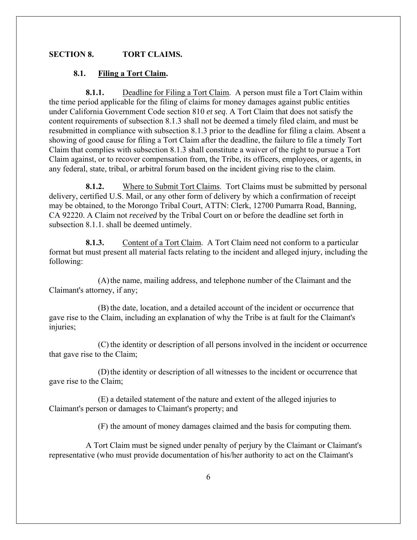# **SECTION 8. TORT CLAIMS.**

#### **8.1. Filing a Tort Claim.**

**8.1.1.** Deadline for Filing a Tort Claim. A person must file a Tort Claim within the time period applicable for the filing of claims for money damages against public entities under California Government Code section 810 *et seq*. A Tort Claim that does not satisfy the content requirements of subsection 8.1.3 shall not be deemed a timely filed claim, and must be resubmitted in compliance with subsection 8.1.3 prior to the deadline for filing a claim. Absent a showing of good cause for filing a Tort Claim after the deadline, the failure to file a timely Tort Claim that complies with subsection 8.1.3 shall constitute a waiver of the right to pursue a Tort Claim against, or to recover compensation from, the Tribe, its officers, employees, or agents, in any federal, state, tribal, or arbitral forum based on the incident giving rise to the claim.

**8.1.2.** Where to Submit Tort Claims. Tort Claims must be submitted by personal delivery, certified U.S. Mail, or any other form of delivery by which a confirmation of receipt may be obtained, to the Morongo Tribal Court, ATTN: Clerk, 12700 Pumarra Road, Banning, CA 92220. A Claim not *received* by the Tribal Court on or before the deadline set forth in subsection 8.1.1. shall be deemed untimely.

**8.1.3.** Content of a Tort Claim. A Tort Claim need not conform to a particular format but must present all material facts relating to the incident and alleged injury, including the following:

(A)the name, mailing address, and telephone number of the Claimant and the Claimant's attorney, if any;

(B) the date, location, and a detailed account of the incident or occurrence that gave rise to the Claim, including an explanation of why the Tribe is at fault for the Claimant's injuries;

(C) the identity or description of all persons involved in the incident or occurrence that gave rise to the Claim;

(D)the identity or description of all witnesses to the incident or occurrence that gave rise to the Claim;

(E) a detailed statement of the nature and extent of the alleged injuries to Claimant's person or damages to Claimant's property; and

(F) the amount of money damages claimed and the basis for computing them.

A Tort Claim must be signed under penalty of perjury by the Claimant or Claimant's representative (who must provide documentation of his/her authority to act on the Claimant's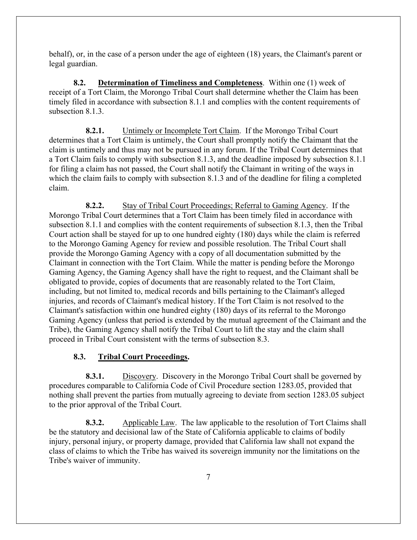behalf), or, in the case of a person under the age of eighteen (18) years, the Claimant's parent or legal guardian.

**8.2. Determination of Timeliness and Completeness**. Within one (1) week of receipt of a Tort Claim, the Morongo Tribal Court shall determine whether the Claim has been timely filed in accordance with subsection 8.1.1 and complies with the content requirements of subsection 8.1.3.

**8.2.1.** Untimely or Incomplete Tort Claim. If the Morongo Tribal Court determines that a Tort Claim is untimely, the Court shall promptly notify the Claimant that the claim is untimely and thus may not be pursued in any forum. If the Tribal Court determines that a Tort Claim fails to comply with subsection 8.1.3, and the deadline imposed by subsection 8.1.1 for filing a claim has not passed, the Court shall notify the Claimant in writing of the ways in which the claim fails to comply with subsection 8.1.3 and of the deadline for filing a completed claim.

**8.2.2.** Stay of Tribal Court Proceedings; Referral to Gaming Agency. If the Morongo Tribal Court determines that a Tort Claim has been timely filed in accordance with subsection 8.1.1 and complies with the content requirements of subsection 8.1.3, then the Tribal Court action shall be stayed for up to one hundred eighty (180) days while the claim is referred to the Morongo Gaming Agency for review and possible resolution. The Tribal Court shall provide the Morongo Gaming Agency with a copy of all documentation submitted by the Claimant in connection with the Tort Claim. While the matter is pending before the Morongo Gaming Agency, the Gaming Agency shall have the right to request, and the Claimant shall be obligated to provide, copies of documents that are reasonably related to the Tort Claim, including, but not limited to, medical records and bills pertaining to the Claimant's alleged injuries, and records of Claimant's medical history. If the Tort Claim is not resolved to the Claimant's satisfaction within one hundred eighty (180) days of its referral to the Morongo Gaming Agency (unless that period is extended by the mutual agreement of the Claimant and the Tribe), the Gaming Agency shall notify the Tribal Court to lift the stay and the claim shall proceed in Tribal Court consistent with the terms of subsection 8.3.

# **8.3. Tribal Court Proceedings.**

**8.3.1.** Discovery. Discovery in the Morongo Tribal Court shall be governed by procedures comparable to California Code of Civil Procedure section 1283.05, provided that nothing shall prevent the parties from mutually agreeing to deviate from section 1283.05 subject to the prior approval of the Tribal Court.

**8.3.2.** Applicable Law. The law applicable to the resolution of Tort Claims shall be the statutory and decisional law of the State of California applicable to claims of bodily injury, personal injury, or property damage, provided that California law shall not expand the class of claims to which the Tribe has waived its sovereign immunity nor the limitations on the Tribe's waiver of immunity.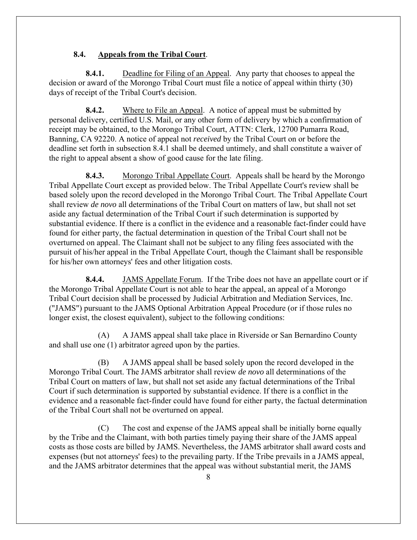# **8.4. Appeals from the Tribal Court**.

**8.4.1.** Deadline for Filing of an Appeal. Any party that chooses to appeal the decision or award of the Morongo Tribal Court must file a notice of appeal within thirty (30) days of receipt of the Tribal Court's decision.

**8.4.2.** Where to File an Appeal. A notice of appeal must be submitted by personal delivery, certified U.S. Mail, or any other form of delivery by which a confirmation of receipt may be obtained, to the Morongo Tribal Court, ATTN: Clerk, 12700 Pumarra Road, Banning, CA 92220. A notice of appeal not *received* by the Tribal Court on or before the deadline set forth in subsection 8.4.1 shall be deemed untimely, and shall constitute a waiver of the right to appeal absent a show of good cause for the late filing.

**8.4.3.** Morongo Tribal Appellate Court. Appeals shall be heard by the Morongo Tribal Appellate Court except as provided below. The Tribal Appellate Court's review shall be based solely upon the record developed in the Morongo Tribal Court. The Tribal Appellate Court shall review *de novo* all determinations of the Tribal Court on matters of law, but shall not set aside any factual determination of the Tribal Court if such determination is supported by substantial evidence. If there is a conflict in the evidence and a reasonable fact-finder could have found for either party, the factual determination in question of the Tribal Court shall not be overturned on appeal. The Claimant shall not be subject to any filing fees associated with the pursuit of his/her appeal in the Tribal Appellate Court, though the Claimant shall be responsible for his/her own attorneys' fees and other litigation costs.

**8.4.4.** JAMS Appellate Forum. If the Tribe does not have an appellate court or if the Morongo Tribal Appellate Court is not able to hear the appeal, an appeal of a Morongo Tribal Court decision shall be processed by Judicial Arbitration and Mediation Services, Inc. ("JAMS") pursuant to the JAMS Optional Arbitration Appeal Procedure (or if those rules no longer exist, the closest equivalent), subject to the following conditions:

(A) A JAMS appeal shall take place in Riverside or San Bernardino County and shall use one (1) arbitrator agreed upon by the parties.

(B) A JAMS appeal shall be based solely upon the record developed in the Morongo Tribal Court. The JAMS arbitrator shall review *de novo* all determinations of the Tribal Court on matters of law, but shall not set aside any factual determinations of the Tribal Court if such determination is supported by substantial evidence. If there is a conflict in the evidence and a reasonable fact-finder could have found for either party, the factual determination of the Tribal Court shall not be overturned on appeal.

(C) The cost and expense of the JAMS appeal shall be initially borne equally by the Tribe and the Claimant, with both parties timely paying their share of the JAMS appeal costs as those costs are billed by JAMS. Nevertheless, the JAMS arbitrator shall award costs and expenses (but not attorneys' fees) to the prevailing party. If the Tribe prevails in a JAMS appeal, and the JAMS arbitrator determines that the appeal was without substantial merit, the JAMS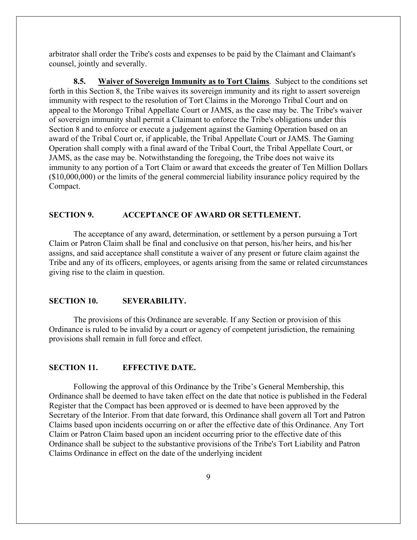arbitrator shall order the Tribe's costs and expenses to be paid by the Claimant and Claimant's counsel, jointly and severally.

**8.5. Waiver of Sovereign Immunity as to Tort Claims**. Subject to the conditions set forth in this Section 8, the Tribe waives its sovereign immunity and its right to assert sovereign immunity with respect to the resolution of Tort Claims in the Morongo Tribal Court and on appeal to the Morongo Tribal Appellate Court or JAMS, as the case may be. The Tribe's waiver of sovereign immunity shall permit a Claimant to enforce the Tribe's obligations under this Section 8 and to enforce or execute a judgement against the Gaming Operation based on an award of the Tribal Court or, if applicable, the Tribal Appellate Court or JAMS. The Gaming Operation shall comply with a final award of the Tribal Court, the Tribal Appellate Court, or JAMS, as the case may be. Notwithstanding the foregoing, the Tribe does not waive its immunity to any portion of a Tort Claim or award that exceeds the greater of Ten Million Dollars (\$10,000,000) or the limits of the general commercial liability insurance policy required by the Compact.

### **SECTION 9. ACCEPTANCE OF AWARD OR SETTLEMENT.**

The acceptance of any award, determination, or settlement by a person pursuing a Tort Claim or Patron Claim shall be final and conclusive on that person, his/her heirs, and his/her assigns, and said acceptance shall constitute a waiver of any present or future claim against the Tribe and any of its officers, employees, or agents arising from the same or related circumstances giving rise to the claim in question.

#### **SECTION 10. SEVERABILITY.**

The provisions of this Ordinance are severable. If any Section or provision of this Ordinance is ruled to be invalid by a court or agency of competent jurisdiction, the remaining provisions shall remain in full force and effect.

#### **SECTION 11. EFFECTIVE DATE.**

Following the approval of this Ordinance by the Tribe's General Membership, this Ordinance shall be deemed to have taken effect on the date that notice is published in the Federal Register that the Compact has been approved or is deemed to have been approved by the Secretary of the Interior. From that date forward, this Ordinance shall govern all Tort and Patron Claims based upon incidents occurring on or after the effective date of this Ordinance. Any Tort Claim or Patron Claim based upon an incident occurring prior to the effective date of this Ordinance shall be subject to the substantive provisions of the Tribe's Tort Liability and Patron Claims Ordinance in effect on the date of the underlying incident